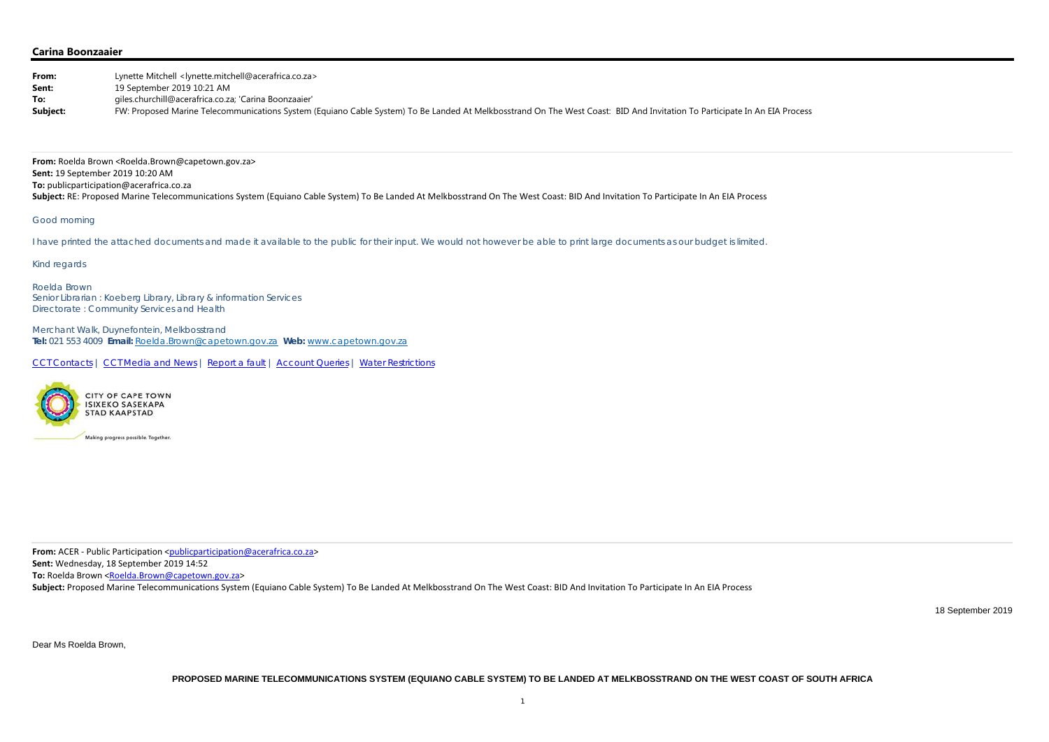| From:    | Lynette Mitchell <lynette.mitchell@acerafrica.co.za></lynette.mitchell@acerafrica.co.za>                                                                                  |
|----------|---------------------------------------------------------------------------------------------------------------------------------------------------------------------------|
| Sent:    | 19 September 2019 10:21 AM                                                                                                                                                |
| To:      | giles.churchill@acerafrica.co.za; 'Carina Boonzaaier'                                                                                                                     |
| Subject: | FW: Proposed Marine Telecommunications System (Equiano Cable System) To Be Landed At Melkbosstrand On The West Coast: BID And Invitation To Participate In An EIA Process |

# **Carina Boonzaaier**

**From:** Roelda Brown <Roelda.Brown@capetown.gov.za> **Sent:** 19 September 2019 10:20 AM **To:** publicparticipation@acerafrica.co.za Subject: RE: Proposed Marine Telecommunications System (Equiano Cable System) To Be Landed At Melkbosstrand On The West Coast: BID And Invitation To Participate In An EIA Process

### Good morning

I have printed the attached documents and made it available to the public for their input. We would not however be able to print large documents as our budget is limited.

Kind regards

Roelda Brown Senior Librarian : Koeberg Library, Library & information Services Directorate : Community Services and Health

Merchant Walk, Duynefontein, Melkbosstrand **Tel:** 021 553 4009 **Email:** Roelda.Brown@capetown.gov.za **Web:** www.capetown.gov.za

CCT Contacts | CCT Media and News | Report a fault | Account Queries | Water Restrictions



**From:** ACER ‐ Public Participation <publicparticipation@acerafrica.co.za>

**Sent:** Wednesday, 18 September 2019 14:52

**To:** Roelda Brown <<u>Roelda.Brown@capetown.gov.za</u>>

Subject: Proposed Marine Telecommunications System (Equiano Cable System) To Be Landed At Melkbosstrand On The West Coast: BID And Invitation To Participate In An EIA Process

18 September 2019

Dear Ms Roelda Brown,

**PROPOSED MARINE TELECOMMUNICATIONS SYSTEM (EQUIANO CABLE SYSTEM) TO BE LANDED AT MELKBOSSTRAND ON THE WEST COAST OF SOUTH AFRICA**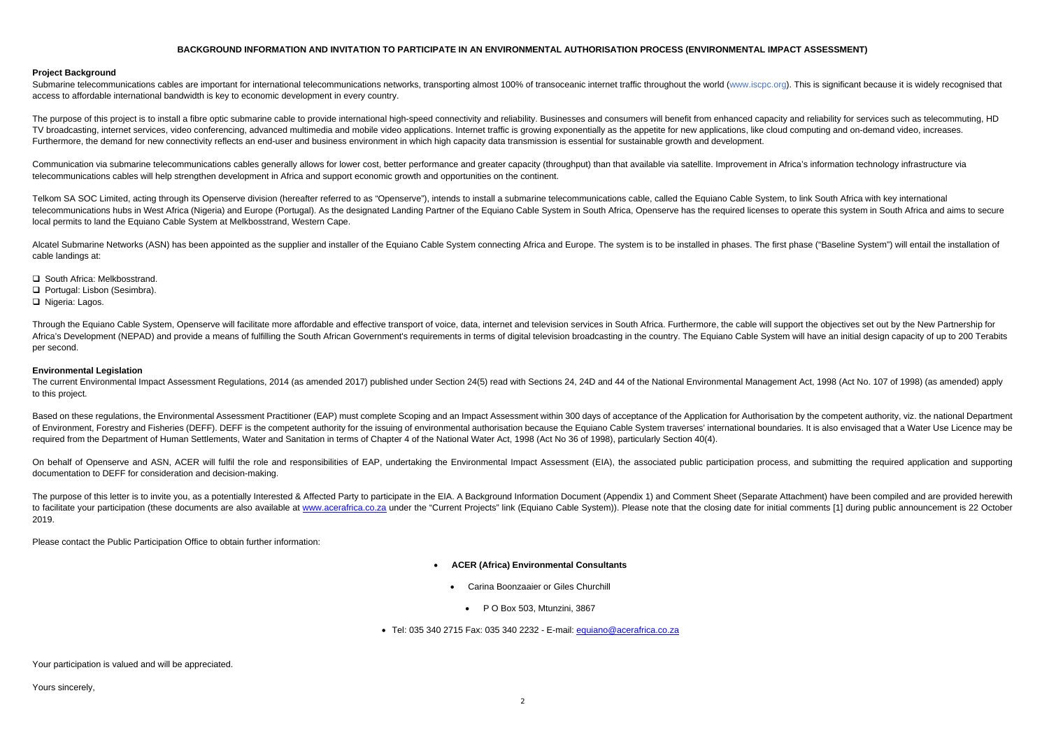## **BACKGROUND INFORMATION AND INVITATION TO PARTICIPATE IN AN ENVIRONMENTAL AUTHORISATION PROCESS (ENVIRONMENTAL IMPACT ASSESSMENT)**

## **Project Background**

Submarine telecommunications cables are important for international telecommunications networks, transporting almost 100% of transoceanic internet traffic throughout the world (www.iscpc.org). This is significant because i access to affordable international bandwidth is key to economic development in every country.

The purpose of this project is to install a fibre optic submarine cable to provide international high-speed connectivity and reliability. Businesses and consumers will benefit from enhanced capacity and reliability for ser TV broadcasting, internet services, video conferencing, advanced multimedia and mobile video applications. Internet traffic is growing exponentially as the appetite for new applications, like cloud computing and on-demand Furthermore, the demand for new connectivity reflects an end-user and business environment in which high capacity data transmission is essential for sustainable growth and development.

Communication via submarine telecommunications cables generally allows for lower cost, better performance and greater capacity (throughput) than that available via satellite. Improvement in Africa's information technology telecommunications cables will help strengthen development in Africa and support economic growth and opportunities on the continent.

Telkom SA SOC Limited, acting through its Openserve division (hereafter referred to as "Openserve"), intends to install a submarine telecommunications cable, called the Equiano Cable System, to link South Africa with key i telecommunications hubs in West Africa (Nigeria) and Europe (Portugal). As the designated Landing Partner of the Equiano Cable System in South Africa, Openserve has the required licenses to operate this system in South Afr local permits to land the Equiano Cable System at Melkbosstrand, Western Cape.

Alcatel Submarine Networks (ASN) has been appointed as the supplier and installer of the Equiano Cable System connecting Africa and Europe. The system is to be installed in phases. The first phase ("Baseline System") will cable landings at:

**□** South Africa: Melkbosstrand.

Through the Equiano Cable System, Openserve will facilitate more affordable and effective transport of voice, data, internet and television services in South Africa. Furthermore, the cable will support the objectives set o Africa's Development (NEPAD) and provide a means of fulfilling the South African Government's requirements in terms of digital television broadcasting in the country. The Equiano Cable System will have an initial design ca per second.

The current Environmental Impact Assessment Regulations, 2014 (as amended 2017) published under Section 24(5) read with Sections 24, 24D and 44 of the National Environmental Management Act, 1998 (Act No. 107 of 1998) (as a to this project.

Based on these regulations, the Environmental Assessment Practitioner (EAP) must complete Scoping and an Impact Assessment within 300 days of acceptance of the Application for Authorisation by the competent authority, viz. of Environment, Forestry and Fisheries (DEFF). DEFF is the competent authority for the issuing of environmental authorisation because the Equiano Cable System traverses' international boundaries. It is also envisaged that required from the Department of Human Settlements, Water and Sanitation in terms of Chapter 4 of the National Water Act, 1998 (Act No 36 of 1998), particularly Section 40(4).

On behalf of Openserve and ASN, ACER will fulfil the role and responsibilities of EAP, undertaking the Environmental Impact Assessment (EIA), the associated public participation process, and submitting the required applica documentation to DEFF for consideration and decision-making.

The purpose of this letter is to invite you, as a potentially Interested & Affected Party to participate in the EIA. A Background Information Document (Appendix 1) and Comment Sheet (Separate Attachment) have been compiled to facilitate your participation (these documents are also available at www.acerafrica.co.za under the "Current Projects" link (Equiano Cable System)). Please note that the closing date for initial comments [1] during publ 2019.

Portugal: Lisbon (Sesimbra).

□ Nigeria: Lagos.

### **Environmental Legislation**

Please contact the Public Participation Office to obtain further information:

- . **ACER (Africa) Environmental Consultants** 
	- . Carina Boonzaaier or Giles Churchill
		- P O Box 503, Mtunzini, 3867
- Tel: 035 340 2715 Fax: 035 340 2232 E-mail: <u>equiano@acerafrica.co.za</u>

Your participation is valued and will be appreciated.

Yours sincerely,